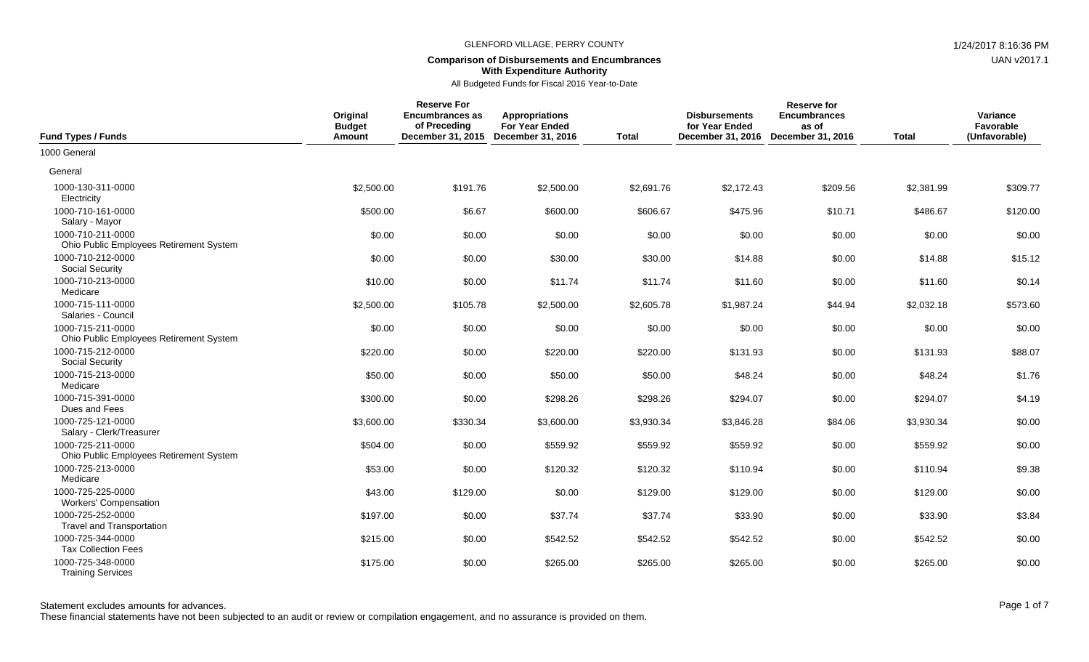## **Comparison of Disbursements and Encumbrances With Expenditure Authority**

All Budgeted Funds for Fiscal 2016 Year-to-Date

| <b>Fund Types / Funds</b>                                    | Original<br><b>Budget</b><br>Amount | <b>Reserve For</b><br><b>Encumbrances as</b><br>of Preceding<br>December 31, 2015 December 31, 2016 | <b>Appropriations</b><br><b>For Year Ended</b> | <b>Total</b> | <b>Disbursements</b><br>for Year Ended<br>December 31, 2016 | <b>Reserve for</b><br><b>Encumbrances</b><br>as of<br>December 31, 2016 | <b>Total</b> | Variance<br>Favorable<br>(Unfavorable) |
|--------------------------------------------------------------|-------------------------------------|-----------------------------------------------------------------------------------------------------|------------------------------------------------|--------------|-------------------------------------------------------------|-------------------------------------------------------------------------|--------------|----------------------------------------|
| 1000 General                                                 |                                     |                                                                                                     |                                                |              |                                                             |                                                                         |              |                                        |
| General                                                      |                                     |                                                                                                     |                                                |              |                                                             |                                                                         |              |                                        |
| 1000-130-311-0000<br>Electricity                             | \$2,500.00                          | \$191.76                                                                                            | \$2,500.00                                     | \$2,691.76   | \$2,172.43                                                  | \$209.56                                                                | \$2,381.99   | \$309.77                               |
| 1000-710-161-0000<br>Salary - Mayor                          | \$500.00                            | \$6.67                                                                                              | \$600.00                                       | \$606.67     | \$475.96                                                    | \$10.71                                                                 | \$486.67     | \$120.00                               |
| 1000-710-211-0000<br>Ohio Public Employees Retirement System | \$0.00                              | \$0.00                                                                                              | \$0.00                                         | \$0.00       | \$0.00                                                      | \$0.00                                                                  | \$0.00       | \$0.00                                 |
| 1000-710-212-0000<br><b>Social Security</b>                  | \$0.00                              | \$0.00                                                                                              | \$30.00                                        | \$30.00      | \$14.88                                                     | \$0.00                                                                  | \$14.88      | \$15.12                                |
| 1000-710-213-0000<br>Medicare                                | \$10.00                             | \$0.00                                                                                              | \$11.74                                        | \$11.74      | \$11.60                                                     | \$0.00                                                                  | \$11.60      | \$0.14                                 |
| 1000-715-111-0000<br>Salaries - Council                      | \$2,500.00                          | \$105.78                                                                                            | \$2,500.00                                     | \$2,605.78   | \$1,987.24                                                  | \$44.94                                                                 | \$2,032.18   | \$573.60                               |
| 1000-715-211-0000<br>Ohio Public Employees Retirement System | \$0.00                              | \$0.00                                                                                              | \$0.00                                         | \$0.00       | \$0.00                                                      | \$0.00                                                                  | \$0.00       | \$0.00                                 |
| 1000-715-212-0000<br><b>Social Security</b>                  | \$220.00                            | \$0.00                                                                                              | \$220.00                                       | \$220.00     | \$131.93                                                    | \$0.00                                                                  | \$131.93     | \$88.07                                |
| 1000-715-213-0000<br>Medicare                                | \$50.00                             | \$0.00                                                                                              | \$50.00                                        | \$50.00      | \$48.24                                                     | \$0.00                                                                  | \$48.24      | \$1.76                                 |
| 1000-715-391-0000<br>Dues and Fees                           | \$300.00                            | \$0.00                                                                                              | \$298.26                                       | \$298.26     | \$294.07                                                    | \$0.00                                                                  | \$294.07     | \$4.19                                 |
| 1000-725-121-0000<br>Salary - Clerk/Treasurer                | \$3,600.00                          | \$330.34                                                                                            | \$3,600.00                                     | \$3,930.34   | \$3,846.28                                                  | \$84.06                                                                 | \$3,930.34   | \$0.00                                 |
| 1000-725-211-0000<br>Ohio Public Employees Retirement System | \$504.00                            | \$0.00                                                                                              | \$559.92                                       | \$559.92     | \$559.92                                                    | \$0.00                                                                  | \$559.92     | \$0.00                                 |
| 1000-725-213-0000<br>Medicare                                | \$53.00                             | \$0.00                                                                                              | \$120.32                                       | \$120.32     | \$110.94                                                    | \$0.00                                                                  | \$110.94     | \$9.38                                 |
| 1000-725-225-0000<br><b>Workers' Compensation</b>            | \$43.00                             | \$129.00                                                                                            | \$0.00                                         | \$129.00     | \$129.00                                                    | \$0.00                                                                  | \$129.00     | \$0.00                                 |
| 1000-725-252-0000<br><b>Travel and Transportation</b>        | \$197.00                            | \$0.00                                                                                              | \$37.74                                        | \$37.74      | \$33.90                                                     | \$0.00                                                                  | \$33.90      | \$3.84                                 |
| 1000-725-344-0000<br><b>Tax Collection Fees</b>              | \$215.00                            | \$0.00                                                                                              | \$542.52                                       | \$542.52     | \$542.52                                                    | \$0.00                                                                  | \$542.52     | \$0.00                                 |
| 1000-725-348-0000<br><b>Training Services</b>                | \$175.00                            | \$0.00                                                                                              | \$265.00                                       | \$265.00     | \$265.00                                                    | \$0.00                                                                  | \$265.00     | \$0.00                                 |

These financial statements have not been subjected to an audit or review or compilation engagement, and no assurance is provided on them.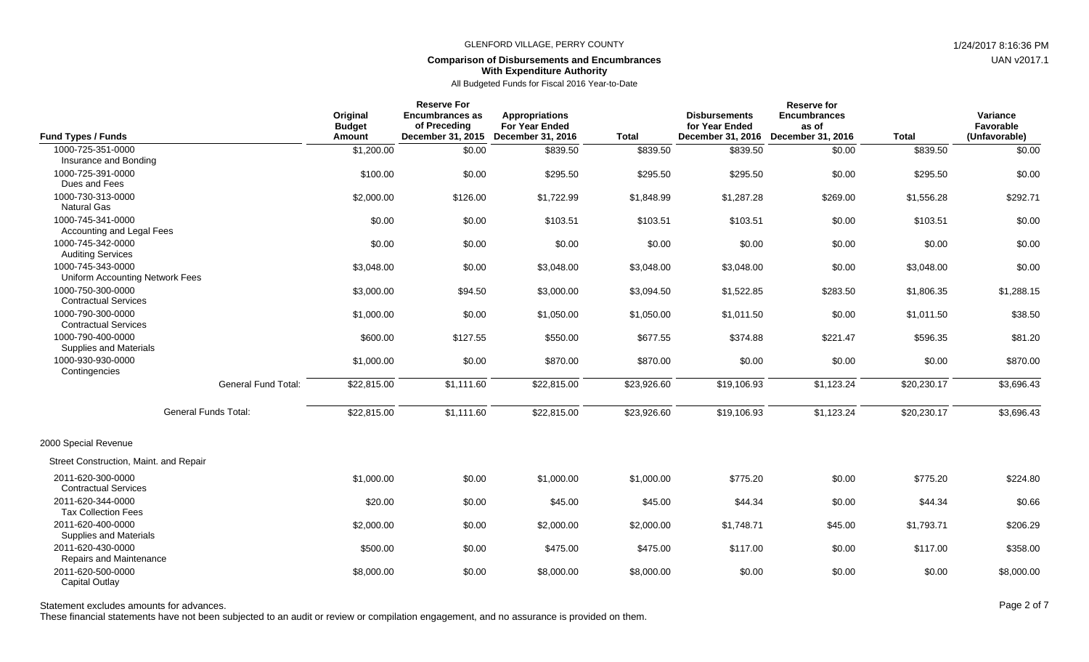# **Comparison of Disbursements and Encumbrances With Expenditure Authority**

All Budgeted Funds for Fiscal 2016 Year-to-Date

| <b>Fund Types / Funds</b>                            |                             | Original<br><b>Budget</b><br>Amount | <b>Reserve For</b><br><b>Encumbrances as</b><br>of Preceding | <b>Appropriations</b><br><b>For Year Ended</b><br>December 31, 2015 December 31, 2016 | <b>Total</b> | <b>Disbursements</b><br>for Year Ended<br>December 31, 2016 | <b>Reserve for</b><br><b>Encumbrances</b><br>as of<br><b>December 31, 2016</b> | <b>Total</b> | Variance<br>Favorable<br>(Unfavorable) |
|------------------------------------------------------|-----------------------------|-------------------------------------|--------------------------------------------------------------|---------------------------------------------------------------------------------------|--------------|-------------------------------------------------------------|--------------------------------------------------------------------------------|--------------|----------------------------------------|
| 1000-725-351-0000                                    |                             | \$1,200.00                          | \$0.00                                                       | \$839.50                                                                              | \$839.50     | \$839.50                                                    | \$0.00                                                                         | \$839.50     | \$0.00                                 |
| Insurance and Bonding                                |                             |                                     |                                                              |                                                                                       |              |                                                             |                                                                                |              |                                        |
| 1000-725-391-0000<br>Dues and Fees                   |                             | \$100.00                            | \$0.00                                                       | \$295.50                                                                              | \$295.50     | \$295.50                                                    | \$0.00                                                                         | \$295.50     | \$0.00                                 |
| 1000-730-313-0000<br><b>Natural Gas</b>              |                             | \$2,000.00                          | \$126.00                                                     | \$1,722.99                                                                            | \$1,848.99   | \$1,287.28                                                  | \$269.00                                                                       | \$1,556.28   | \$292.71                               |
| 1000-745-341-0000<br>Accounting and Legal Fees       |                             | \$0.00                              | \$0.00                                                       | \$103.51                                                                              | \$103.51     | \$103.51                                                    | \$0.00                                                                         | \$103.51     | \$0.00                                 |
| 1000-745-342-0000<br><b>Auditing Services</b>        |                             | \$0.00                              | \$0.00                                                       | \$0.00                                                                                | \$0.00       | \$0.00                                                      | \$0.00                                                                         | \$0.00       | \$0.00                                 |
| 1000-745-343-0000<br>Uniform Accounting Network Fees |                             | \$3,048.00                          | \$0.00                                                       | \$3,048.00                                                                            | \$3,048.00   | \$3,048.00                                                  | \$0.00                                                                         | \$3,048.00   | \$0.00                                 |
| 1000-750-300-0000<br><b>Contractual Services</b>     |                             | \$3,000.00                          | \$94.50                                                      | \$3,000.00                                                                            | \$3,094.50   | \$1,522.85                                                  | \$283.50                                                                       | \$1,806.35   | \$1,288.15                             |
| 1000-790-300-0000<br><b>Contractual Services</b>     |                             | \$1,000.00                          | \$0.00                                                       | \$1,050.00                                                                            | \$1,050.00   | \$1,011.50                                                  | \$0.00                                                                         | \$1,011.50   | \$38.50                                |
| 1000-790-400-0000<br>Supplies and Materials          |                             | \$600.00                            | \$127.55                                                     | \$550.00                                                                              | \$677.55     | \$374.88                                                    | \$221.47                                                                       | \$596.35     | \$81.20                                |
| 1000-930-930-0000<br>Contingencies                   |                             | \$1,000.00                          | \$0.00                                                       | \$870.00                                                                              | \$870.00     | \$0.00                                                      | \$0.00                                                                         | \$0.00       | \$870.00                               |
|                                                      | <b>General Fund Total:</b>  | \$22,815.00                         | \$1,111.60                                                   | \$22,815.00                                                                           | \$23,926.60  | \$19,106.93                                                 | \$1,123.24                                                                     | \$20,230.17  | \$3,696.43                             |
|                                                      | <b>General Funds Total:</b> | \$22,815.00                         | \$1,111.60                                                   | \$22,815.00                                                                           | \$23,926.60  | \$19,106.93                                                 | \$1,123.24                                                                     | \$20,230.17  | \$3,696.43                             |
| 2000 Special Revenue                                 |                             |                                     |                                                              |                                                                                       |              |                                                             |                                                                                |              |                                        |
| Street Construction, Maint. and Repair               |                             |                                     |                                                              |                                                                                       |              |                                                             |                                                                                |              |                                        |
| 2011-620-300-0000<br><b>Contractual Services</b>     |                             | \$1,000.00                          | \$0.00                                                       | \$1,000.00                                                                            | \$1,000.00   | \$775.20                                                    | \$0.00                                                                         | \$775.20     | \$224.80                               |
| 2011-620-344-0000<br><b>Tax Collection Fees</b>      |                             | \$20.00                             | \$0.00                                                       | \$45.00                                                                               | \$45.00      | \$44.34                                                     | \$0.00                                                                         | \$44.34      | \$0.66                                 |
| 2011-620-400-0000<br><b>Supplies and Materials</b>   |                             | \$2,000.00                          | \$0.00                                                       | \$2,000.00                                                                            | \$2,000.00   | \$1,748.71                                                  | \$45.00                                                                        | \$1,793.71   | \$206.29                               |
| 2011-620-430-0000<br>Repairs and Maintenance         |                             | \$500.00                            | \$0.00                                                       | \$475.00                                                                              | \$475.00     | \$117.00                                                    | \$0.00                                                                         | \$117.00     | \$358.00                               |
| 2011-620-500-0000<br><b>Capital Outlay</b>           |                             | \$8,000.00                          | \$0.00                                                       | \$8,000.00                                                                            | \$8,000.00   | \$0.00                                                      | \$0.00                                                                         | \$0.00       | \$8,000.00                             |

Statement excludes amounts for advances. The experience of 7 and 2 of 7 and 2 of 7 and 2 of 7

These financial statements have not been subjected to an audit or review or compilation engagement, and no assurance is provided on them.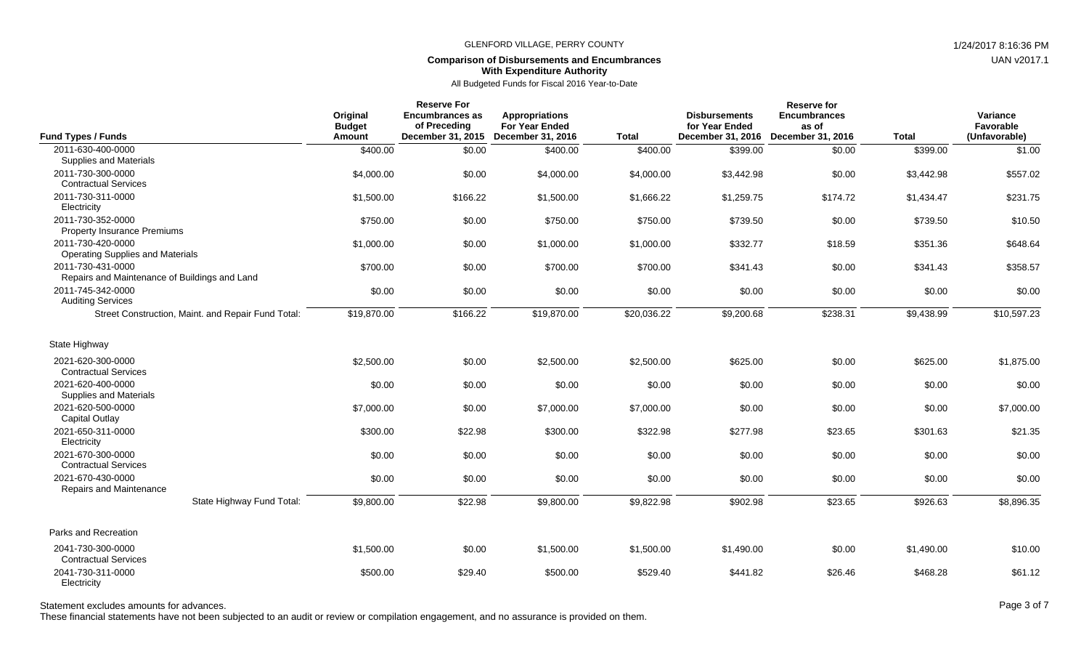## **Comparison of Disbursements and Encumbrances With Expenditure Authority**

All Budgeted Funds for Fiscal 2016 Year-to-Date

| <b>Fund Types / Funds</b>                                                  | Original<br><b>Budget</b><br>Amount | <b>Reserve For</b><br><b>Encumbrances as</b><br>of Preceding<br>December 31, 2015 | <b>Appropriations</b><br><b>For Year Ended</b><br><b>December 31, 2016</b> | <b>Total</b> | <b>Disbursements</b><br>for Year Ended<br>December 31, 2016 | <b>Reserve for</b><br><b>Encumbrances</b><br>as of<br>December 31, 2016 | <b>Total</b> | Variance<br>Favorable<br>(Unfavorable) |
|----------------------------------------------------------------------------|-------------------------------------|-----------------------------------------------------------------------------------|----------------------------------------------------------------------------|--------------|-------------------------------------------------------------|-------------------------------------------------------------------------|--------------|----------------------------------------|
| 2011-630-400-0000                                                          | \$400.00                            | \$0.00                                                                            | \$400.00                                                                   | \$400.00     | \$399.00                                                    | \$0.00                                                                  | \$399.00     | \$1.00                                 |
| Supplies and Materials<br>2011-730-300-0000<br><b>Contractual Services</b> | \$4,000.00                          | \$0.00                                                                            | \$4,000.00                                                                 | \$4,000.00   | \$3,442.98                                                  | \$0.00                                                                  | \$3,442.98   | \$557.02                               |
| 2011-730-311-0000<br>Electricity                                           | \$1,500.00                          | \$166.22                                                                          | \$1,500.00                                                                 | \$1,666.22   | \$1,259.75                                                  | \$174.72                                                                | \$1,434.47   | \$231.75                               |
| 2011-730-352-0000<br><b>Property Insurance Premiums</b>                    | \$750.00                            | \$0.00                                                                            | \$750.00                                                                   | \$750.00     | \$739.50                                                    | \$0.00                                                                  | \$739.50     | \$10.50                                |
| 2011-730-420-0000<br><b>Operating Supplies and Materials</b>               | \$1,000.00                          | \$0.00                                                                            | \$1,000.00                                                                 | \$1,000.00   | \$332.77                                                    | \$18.59                                                                 | \$351.36     | \$648.64                               |
| 2011-730-431-0000<br>Repairs and Maintenance of Buildings and Land         | \$700.00                            | \$0.00                                                                            | \$700.00                                                                   | \$700.00     | \$341.43                                                    | \$0.00                                                                  | \$341.43     | \$358.57                               |
| 2011-745-342-0000<br><b>Auditing Services</b>                              | \$0.00                              | \$0.00                                                                            | \$0.00                                                                     | \$0.00       | \$0.00                                                      | \$0.00                                                                  | \$0.00       | \$0.00                                 |
| Street Construction, Maint. and Repair Fund Total:                         | \$19,870.00                         | \$166.22                                                                          | \$19,870.00                                                                | \$20,036.22  | \$9,200.68                                                  | \$238.31                                                                | \$9,438.99   | \$10,597.23                            |
| State Highway                                                              |                                     |                                                                                   |                                                                            |              |                                                             |                                                                         |              |                                        |
| 2021-620-300-0000<br><b>Contractual Services</b>                           | \$2,500.00                          | \$0.00                                                                            | \$2,500.00                                                                 | \$2,500.00   | \$625.00                                                    | \$0.00                                                                  | \$625.00     | \$1,875.00                             |
| 2021-620-400-0000<br>Supplies and Materials                                | \$0.00                              | \$0.00                                                                            | \$0.00                                                                     | \$0.00       | \$0.00                                                      | \$0.00                                                                  | \$0.00       | \$0.00                                 |
| 2021-620-500-0000<br><b>Capital Outlay</b>                                 | \$7,000.00                          | \$0.00                                                                            | \$7,000.00                                                                 | \$7,000.00   | \$0.00                                                      | \$0.00                                                                  | \$0.00       | \$7,000.00                             |
| 2021-650-311-0000<br>Electricity                                           | \$300.00                            | \$22.98                                                                           | \$300.00                                                                   | \$322.98     | \$277.98                                                    | \$23.65                                                                 | \$301.63     | \$21.35                                |
| 2021-670-300-0000<br><b>Contractual Services</b>                           | \$0.00                              | \$0.00                                                                            | \$0.00                                                                     | \$0.00       | \$0.00                                                      | \$0.00                                                                  | \$0.00       | \$0.00                                 |
| 2021-670-430-0000<br>Repairs and Maintenance                               | \$0.00                              | \$0.00                                                                            | \$0.00                                                                     | \$0.00       | \$0.00                                                      | \$0.00                                                                  | \$0.00       | \$0.00                                 |
| State Highway Fund Total:                                                  | \$9,800.00                          | \$22.98                                                                           | \$9,800.00                                                                 | \$9,822.98   | \$902.98                                                    | \$23.65                                                                 | \$926.63     | \$8,896.35                             |
| Parks and Recreation                                                       |                                     |                                                                                   |                                                                            |              |                                                             |                                                                         |              |                                        |
| 2041-730-300-0000<br><b>Contractual Services</b>                           | \$1,500.00                          | \$0.00                                                                            | \$1,500.00                                                                 | \$1,500.00   | \$1,490.00                                                  | \$0.00                                                                  | \$1,490.00   | \$10.00                                |
| 2041-730-311-0000<br>Electricity                                           | \$500.00                            | \$29.40                                                                           | \$500.00                                                                   | \$529.40     | \$441.82                                                    | \$26.46                                                                 | \$468.28     | \$61.12                                |

Statement excludes amounts for advances. The state of 7 and 200 and 200 and 200 and 200 and 200 and 200 and 200 and 200 and 200 and 200 and 200 and 200 and 200 and 200 and 200 and 200 and 200 and 200 and 200 and 200 and 20

These financial statements have not been subjected to an audit or review or compilation engagement, and no assurance is provided on them.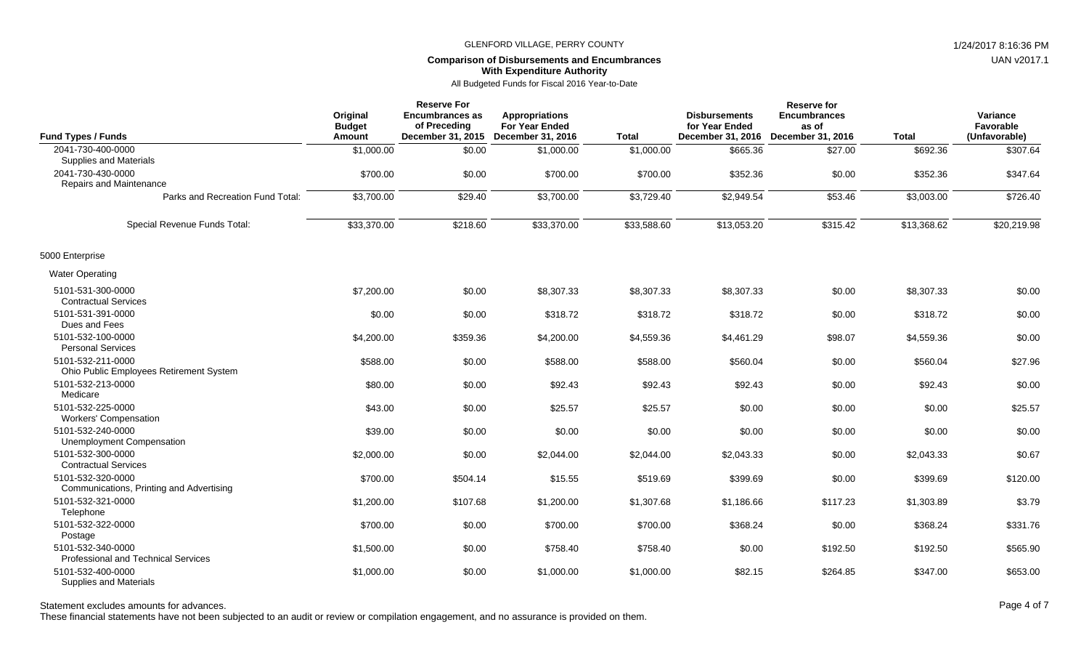# **Comparison of Disbursements and Encumbrances With Expenditure Authority**

All Budgeted Funds for Fiscal 2016 Year-to-Date

| <b>Fund Types / Funds</b>                                       | Original<br><b>Budget</b><br><b>Amount</b> | <b>Reserve For</b><br><b>Encumbrances as</b><br>of Preceding<br>December 31, 2015 | <b>Appropriations</b><br><b>For Year Ended</b><br>December 31, 2016 | <b>Total</b> | <b>Disbursements</b><br>for Year Ended<br>December 31, 2016 | <b>Reserve for</b><br><b>Encumbrances</b><br>as of<br>December 31, 2016 | <b>Total</b> | Variance<br>Favorable<br>(Unfavorable) |
|-----------------------------------------------------------------|--------------------------------------------|-----------------------------------------------------------------------------------|---------------------------------------------------------------------|--------------|-------------------------------------------------------------|-------------------------------------------------------------------------|--------------|----------------------------------------|
| 2041-730-400-0000<br>Supplies and Materials                     | \$1,000.00                                 | \$0.00                                                                            | \$1,000.00                                                          | \$1,000.00   | \$665.36                                                    | \$27.00                                                                 | \$692.36     | \$307.64                               |
| 2041-730-430-0000<br><b>Repairs and Maintenance</b>             | \$700.00                                   | \$0.00                                                                            | \$700.00                                                            | \$700.00     | \$352.36                                                    | \$0.00                                                                  | \$352.36     | \$347.64                               |
| Parks and Recreation Fund Total:                                | \$3,700.00                                 | \$29.40                                                                           | \$3,700.00                                                          | \$3,729.40   | \$2,949.54                                                  | \$53.46                                                                 | \$3,003.00   | \$726.40                               |
| Special Revenue Funds Total:                                    | \$33,370.00                                | \$218.60                                                                          | \$33,370.00                                                         | \$33,588.60  | \$13,053.20                                                 | \$315.42                                                                | \$13,368.62  | \$20,219.98                            |
| 5000 Enterprise                                                 |                                            |                                                                                   |                                                                     |              |                                                             |                                                                         |              |                                        |
| <b>Water Operating</b>                                          |                                            |                                                                                   |                                                                     |              |                                                             |                                                                         |              |                                        |
| 5101-531-300-0000<br><b>Contractual Services</b>                | \$7,200.00                                 | \$0.00                                                                            | \$8,307.33                                                          | \$8,307.33   | \$8,307.33                                                  | \$0.00                                                                  | \$8,307.33   | \$0.00                                 |
| 5101-531-391-0000<br>Dues and Fees                              | \$0.00                                     | \$0.00                                                                            | \$318.72                                                            | \$318.72     | \$318.72                                                    | \$0.00                                                                  | \$318.72     | \$0.00                                 |
| 5101-532-100-0000<br><b>Personal Services</b>                   | \$4,200.00                                 | \$359.36                                                                          | \$4,200.00                                                          | \$4,559.36   | \$4,461.29                                                  | \$98.07                                                                 | \$4,559.36   | \$0.00                                 |
| 5101-532-211-0000<br>Ohio Public Employees Retirement System    | \$588.00                                   | \$0.00                                                                            | \$588.00                                                            | \$588.00     | \$560.04                                                    | \$0.00                                                                  | \$560.04     | \$27.96                                |
| 5101-532-213-0000<br>Medicare                                   | \$80.00                                    | \$0.00                                                                            | \$92.43                                                             | \$92.43      | \$92.43                                                     | \$0.00                                                                  | \$92.43      | \$0.00                                 |
| 5101-532-225-0000<br><b>Workers' Compensation</b>               | \$43.00                                    | \$0.00                                                                            | \$25.57                                                             | \$25.57      | \$0.00                                                      | \$0.00                                                                  | \$0.00       | \$25.57                                |
| 5101-532-240-0000<br><b>Unemployment Compensation</b>           | \$39.00                                    | \$0.00                                                                            | \$0.00                                                              | \$0.00       | \$0.00                                                      | \$0.00                                                                  | \$0.00       | \$0.00                                 |
| 5101-532-300-0000<br><b>Contractual Services</b>                | \$2,000.00                                 | \$0.00                                                                            | \$2,044.00                                                          | \$2,044.00   | \$2,043.33                                                  | \$0.00                                                                  | \$2,043.33   | \$0.67                                 |
| 5101-532-320-0000<br>Communications, Printing and Advertising   | \$700.00                                   | \$504.14                                                                          | \$15.55                                                             | \$519.69     | \$399.69                                                    | \$0.00                                                                  | \$399.69     | \$120.00                               |
| 5101-532-321-0000<br>Telephone                                  | \$1,200.00                                 | \$107.68                                                                          | \$1,200.00                                                          | \$1,307.68   | \$1,186.66                                                  | \$117.23                                                                | \$1,303.89   | \$3.79                                 |
| 5101-532-322-0000<br>Postage                                    | \$700.00                                   | \$0.00                                                                            | \$700.00                                                            | \$700.00     | \$368.24                                                    | \$0.00                                                                  | \$368.24     | \$331.76                               |
| 5101-532-340-0000<br><b>Professional and Technical Services</b> | \$1,500.00                                 | \$0.00                                                                            | \$758.40                                                            | \$758.40     | \$0.00                                                      | \$192.50                                                                | \$192.50     | \$565.90                               |
| 5101-532-400-0000<br><b>Supplies and Materials</b>              | \$1,000.00                                 | \$0.00                                                                            | \$1,000.00                                                          | \$1,000.00   | \$82.15                                                     | \$264.85                                                                | \$347.00     | \$653.00                               |

Statement excludes amounts for advances. The statement excludes amounts for advances. Page 4 of 7

These financial statements have not been subjected to an audit or review or compilation engagement, and no assurance is provided on them.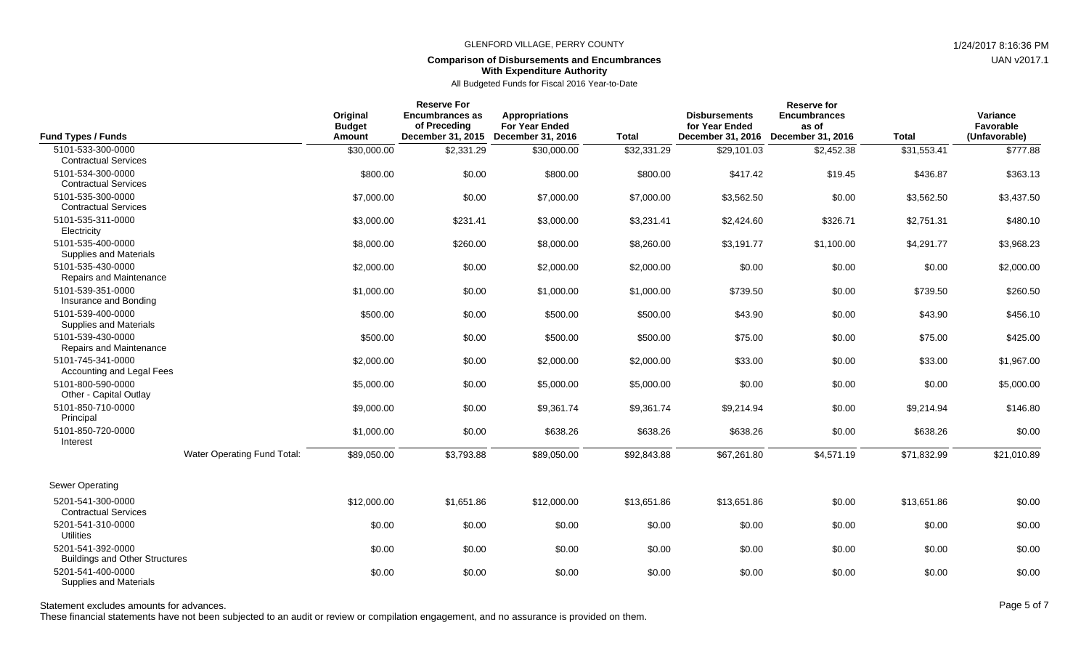# **Comparison of Disbursements and Encumbrances With Expenditure Authority**

All Budgeted Funds for Fiscal 2016 Year-to-Date

| <b>Fund Types / Funds</b>                                                       |                             | Original<br><b>Budget</b><br>Amount | <b>Reserve For</b><br>Encumbrances as<br>of Preceding<br>December 31, 2015 | <b>Appropriations</b><br><b>For Year Ended</b><br><b>December 31, 2016</b> | <b>Total</b> | <b>Disbursements</b><br>for Year Ended<br>December 31, 2016 | <b>Reserve for</b><br><b>Encumbrances</b><br>as of<br>December 31, 2016 | <b>Total</b> | Variance<br>Favorable<br>(Unfavorable) |
|---------------------------------------------------------------------------------|-----------------------------|-------------------------------------|----------------------------------------------------------------------------|----------------------------------------------------------------------------|--------------|-------------------------------------------------------------|-------------------------------------------------------------------------|--------------|----------------------------------------|
| 5101-533-300-0000                                                               |                             | \$30,000.00                         | \$2,331.29                                                                 | \$30,000.00                                                                | \$32,331.29  | \$29,101.03                                                 | \$2,452.38                                                              | \$31,553.41  | \$777.88                               |
| <b>Contractual Services</b><br>5101-534-300-0000<br><b>Contractual Services</b> |                             | \$800.00                            | \$0.00                                                                     | \$800.00                                                                   | \$800.00     | \$417.42                                                    | \$19.45                                                                 | \$436.87     | \$363.13                               |
| 5101-535-300-0000<br><b>Contractual Services</b>                                |                             | \$7,000.00                          | \$0.00                                                                     | \$7,000.00                                                                 | \$7,000.00   | \$3,562.50                                                  | \$0.00                                                                  | \$3,562.50   | \$3,437.50                             |
| 5101-535-311-0000<br>Electricity                                                |                             | \$3,000.00                          | \$231.41                                                                   | \$3,000.00                                                                 | \$3,231.41   | \$2,424.60                                                  | \$326.71                                                                | \$2,751.31   | \$480.10                               |
| 5101-535-400-0000<br>Supplies and Materials                                     |                             | \$8,000.00                          | \$260.00                                                                   | \$8,000.00                                                                 | \$8,260.00   | \$3,191.77                                                  | \$1,100.00                                                              | \$4,291.77   | \$3,968.23                             |
| 5101-535-430-0000<br>Repairs and Maintenance                                    |                             | \$2,000.00                          | \$0.00                                                                     | \$2,000.00                                                                 | \$2,000.00   | \$0.00                                                      | \$0.00                                                                  | \$0.00       | \$2,000.00                             |
| 5101-539-351-0000<br>Insurance and Bonding                                      |                             | \$1,000.00                          | \$0.00                                                                     | \$1,000.00                                                                 | \$1,000.00   | \$739.50                                                    | \$0.00                                                                  | \$739.50     | \$260.50                               |
| 5101-539-400-0000<br>Supplies and Materials                                     |                             | \$500.00                            | \$0.00                                                                     | \$500.00                                                                   | \$500.00     | \$43.90                                                     | \$0.00                                                                  | \$43.90      | \$456.10                               |
| 5101-539-430-0000<br>Repairs and Maintenance                                    |                             | \$500.00                            | \$0.00                                                                     | \$500.00                                                                   | \$500.00     | \$75.00                                                     | \$0.00                                                                  | \$75.00      | \$425.00                               |
| 5101-745-341-0000<br>Accounting and Legal Fees                                  |                             | \$2,000.00                          | \$0.00                                                                     | \$2,000.00                                                                 | \$2,000.00   | \$33.00                                                     | \$0.00                                                                  | \$33.00      | \$1,967.00                             |
| 5101-800-590-0000<br>Other - Capital Outlay                                     |                             | \$5,000.00                          | \$0.00                                                                     | \$5,000.00                                                                 | \$5,000.00   | \$0.00                                                      | \$0.00                                                                  | \$0.00       | \$5,000.00                             |
| 5101-850-710-0000<br>Principal                                                  |                             | \$9,000.00                          | \$0.00                                                                     | \$9,361.74                                                                 | \$9,361.74   | \$9,214.94                                                  | \$0.00                                                                  | \$9,214.94   | \$146.80                               |
| 5101-850-720-0000<br>Interest                                                   |                             | \$1,000.00                          | \$0.00                                                                     | \$638.26                                                                   | \$638.26     | \$638.26                                                    | \$0.00                                                                  | \$638.26     | \$0.00                                 |
|                                                                                 | Water Operating Fund Total: | \$89,050.00                         | \$3,793.88                                                                 | \$89,050.00                                                                | \$92,843.88  | \$67,261.80                                                 | \$4,571.19                                                              | \$71,832.99  | \$21,010.89                            |
| Sewer Operating                                                                 |                             |                                     |                                                                            |                                                                            |              |                                                             |                                                                         |              |                                        |
| 5201-541-300-0000<br><b>Contractual Services</b>                                |                             | \$12,000.00                         | \$1,651.86                                                                 | \$12,000.00                                                                | \$13,651.86  | \$13,651.86                                                 | \$0.00                                                                  | \$13,651.86  | \$0.00                                 |
| 5201-541-310-0000<br><b>Utilities</b>                                           |                             | \$0.00                              | \$0.00                                                                     | \$0.00                                                                     | \$0.00       | \$0.00                                                      | \$0.00                                                                  | \$0.00       | \$0.00                                 |
| 5201-541-392-0000<br><b>Buildings and Other Structures</b>                      |                             | \$0.00                              | \$0.00                                                                     | \$0.00                                                                     | \$0.00       | \$0.00                                                      | \$0.00                                                                  | \$0.00       | \$0.00                                 |
| 5201-541-400-0000<br><b>Supplies and Materials</b>                              |                             | \$0.00                              | \$0.00                                                                     | \$0.00                                                                     | \$0.00       | \$0.00                                                      | \$0.00                                                                  | \$0.00       | \$0.00                                 |

Statement excludes amounts for advances. The statement excludes amounts for advances. Page 5 of 7

These financial statements have not been subjected to an audit or review or compilation engagement, and no assurance is provided on them.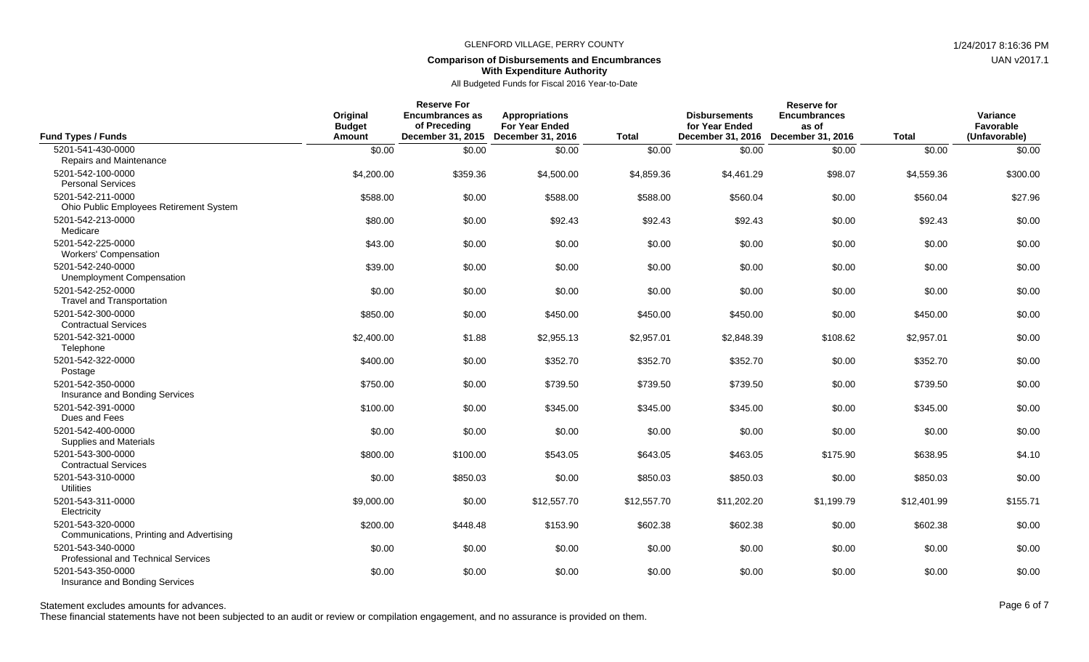## **Comparison of Disbursements and Encumbrances With Expenditure Authority**

## All Budgeted Funds for Fiscal 2016 Year-to-Date

| <b>Fund Types / Funds</b>                                     | Original<br><b>Budget</b><br>Amount | <b>Reserve For</b><br>Encumbrances as<br>of Preceding<br>December 31, 2015 | <b>Appropriations</b><br><b>For Year Ended</b><br>December 31, 2016 | <b>Total</b> | <b>Disbursements</b><br>for Year Ended<br>December 31, 2016 | <b>Reserve for</b><br><b>Encumbrances</b><br>as of<br>December 31, 2016 | <b>Total</b> | Variance<br>Favorable<br>(Unfavorable) |
|---------------------------------------------------------------|-------------------------------------|----------------------------------------------------------------------------|---------------------------------------------------------------------|--------------|-------------------------------------------------------------|-------------------------------------------------------------------------|--------------|----------------------------------------|
| 5201-541-430-0000<br>Repairs and Maintenance                  | \$0.00                              | \$0.00                                                                     | \$0.00                                                              | \$0.00       | \$0.00                                                      | \$0.00                                                                  | \$0.00       | \$0.00                                 |
| 5201-542-100-0000<br><b>Personal Services</b>                 | \$4,200.00                          | \$359.36                                                                   | \$4,500.00                                                          | \$4,859.36   | \$4,461.29                                                  | \$98.07                                                                 | \$4,559.36   | \$300.00                               |
| 5201-542-211-0000<br>Ohio Public Employees Retirement System  | \$588.00                            | \$0.00                                                                     | \$588.00                                                            | \$588.00     | \$560.04                                                    | \$0.00                                                                  | \$560.04     | \$27.96                                |
| 5201-542-213-0000<br>Medicare                                 | \$80.00                             | \$0.00                                                                     | \$92.43                                                             | \$92.43      | \$92.43                                                     | \$0.00                                                                  | \$92.43      | \$0.00                                 |
| 5201-542-225-0000<br><b>Workers' Compensation</b>             | \$43.00                             | \$0.00                                                                     | \$0.00                                                              | \$0.00       | \$0.00                                                      | \$0.00                                                                  | \$0.00       | \$0.00                                 |
| 5201-542-240-0000<br><b>Unemployment Compensation</b>         | \$39.00                             | \$0.00                                                                     | \$0.00                                                              | \$0.00       | \$0.00                                                      | \$0.00                                                                  | \$0.00       | \$0.00                                 |
| 5201-542-252-0000<br><b>Travel and Transportation</b>         | \$0.00                              | \$0.00                                                                     | \$0.00                                                              | \$0.00       | \$0.00                                                      | \$0.00                                                                  | \$0.00       | \$0.00                                 |
| 5201-542-300-0000<br><b>Contractual Services</b>              | \$850.00                            | \$0.00                                                                     | \$450.00                                                            | \$450.00     | \$450.00                                                    | \$0.00                                                                  | \$450.00     | \$0.00                                 |
| 5201-542-321-0000<br>Telephone                                | \$2,400.00                          | \$1.88                                                                     | \$2,955.13                                                          | \$2,957.01   | \$2,848.39                                                  | \$108.62                                                                | \$2.957.01   | \$0.00                                 |
| 5201-542-322-0000<br>Postage                                  | \$400.00                            | \$0.00                                                                     | \$352.70                                                            | \$352.70     | \$352.70                                                    | \$0.00                                                                  | \$352.70     | \$0.00                                 |
| 5201-542-350-0000<br>Insurance and Bonding Services           | \$750.00                            | \$0.00                                                                     | \$739.50                                                            | \$739.50     | \$739.50                                                    | \$0.00                                                                  | \$739.50     | \$0.00                                 |
| 5201-542-391-0000<br>Dues and Fees                            | \$100.00                            | \$0.00                                                                     | \$345.00                                                            | \$345.00     | \$345.00                                                    | \$0.00                                                                  | \$345.00     | \$0.00                                 |
| 5201-542-400-0000<br><b>Supplies and Materials</b>            | \$0.00                              | \$0.00                                                                     | \$0.00                                                              | \$0.00       | \$0.00                                                      | \$0.00                                                                  | \$0.00       | \$0.00                                 |
| 5201-543-300-0000<br><b>Contractual Services</b>              | \$800.00                            | \$100.00                                                                   | \$543.05                                                            | \$643.05     | \$463.05                                                    | \$175.90                                                                | \$638.95     | \$4.10                                 |
| 5201-543-310-0000<br><b>Utilities</b>                         | \$0.00                              | \$850.03                                                                   | \$0.00                                                              | \$850.03     | \$850.03                                                    | \$0.00                                                                  | \$850.03     | \$0.00                                 |
| 5201-543-311-0000<br>Electricity                              | \$9,000.00                          | \$0.00                                                                     | \$12,557.70                                                         | \$12,557.70  | \$11,202.20                                                 | \$1,199.79                                                              | \$12,401.99  | \$155.71                               |
| 5201-543-320-0000<br>Communications, Printing and Advertising | \$200.00                            | \$448.48                                                                   | \$153.90                                                            | \$602.38     | \$602.38                                                    | \$0.00                                                                  | \$602.38     | \$0.00                                 |
| 5201-543-340-0000<br>Professional and Technical Services      | \$0.00                              | \$0.00                                                                     | \$0.00                                                              | \$0.00       | \$0.00                                                      | \$0.00                                                                  | \$0.00       | \$0.00                                 |
| 5201-543-350-0000<br>Insurance and Bonding Services           | \$0.00                              | \$0.00                                                                     | \$0.00                                                              | \$0.00       | \$0.00                                                      | \$0.00                                                                  | \$0.00       | \$0.00                                 |

Statement excludes amounts for advances. The state of the state of the state of the state of the state of the state of the state of the Page 6 of 7

These financial statements have not been subjected to an audit or review or compilation engagement, and no assurance is provided on them.